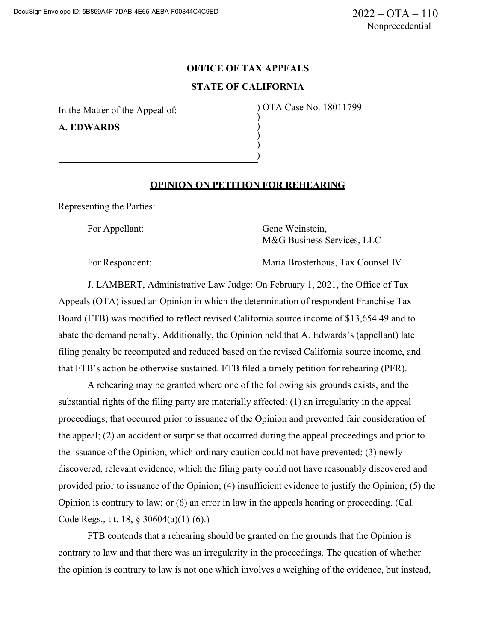## **OFFICE OF TAX APPEALS STATE OF CALIFORNIA**

) ) ) ) )

In the Matter of the Appeal of:

**A. EDWARDS**

) OTA Case No. 18011799

## **OPINION ON PETITION FOR REHEARING**

Representing the Parties:

For Appellant: Gene Weinstein, M&G Business Services, LLC

For Respondent: Maria Brosterhous, Tax Counsel IV

J. LAMBERT, Administrative Law Judge: On February 1, 2021, the Office of Tax Appeals (OTA) issued an Opinion in which the determination of respondent Franchise Tax Board (FTB) was modified to reflect revised California source income of \$13,654.49 and to abate the demand penalty. Additionally, the Opinion held that A. Edwards's (appellant) late filing penalty be recomputed and reduced based on the revised California source income, and that FTB's action be otherwise sustained. FTB filed a timely petition for rehearing (PFR).

A rehearing may be granted where one of the following six grounds exists, and the substantial rights of the filing party are materially affected: (1) an irregularity in the appeal proceedings, that occurred prior to issuance of the Opinion and prevented fair consideration of the appeal; (2) an accident or surprise that occurred during the appeal proceedings and prior to the issuance of the Opinion, which ordinary caution could not have prevented; (3) newly discovered, relevant evidence, which the filing party could not have reasonably discovered and provided prior to issuance of the Opinion; (4) insufficient evidence to justify the Opinion; (5) the Opinion is contrary to law; or (6) an error in law in the appeals hearing or proceeding. (Cal. Code Regs., tit. 18, § 30604(a)(1)-(6).)

FTB contends that a rehearing should be granted on the grounds that the Opinion is contrary to law and that there was an irregularity in the proceedings. The question of whether the opinion is contrary to law is not one which involves a weighing of the evidence, but instead,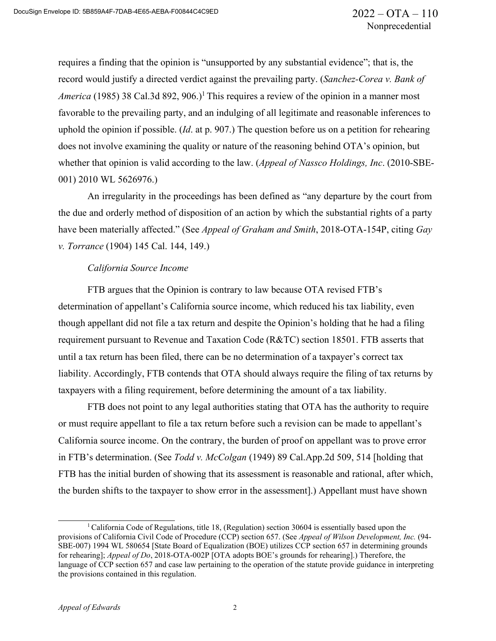requires a finding that the opinion is "unsupported by any substantial evidence"; that is, the record would justify a directed verdict against the prevailing party. (*Sanchez-Corea v. Bank of America* (1985) 38 Cal.3d 892, 906.)<sup>1</sup> This requires a review of the opinion in a manner most favorable to the prevailing party, and an indulging of all legitimate and reasonable inferences to uphold the opinion if possible. (*Id*. at p. 907.) The question before us on a petition for rehearing does not involve examining the quality or nature of the reasoning behind OTA's opinion, but whether that opinion is valid according to the law. (*Appeal of Nassco Holdings, Inc*. (2010-SBE-001) 2010 WL 5626976.)

An irregularity in the proceedings has been defined as "any departure by the court from the due and orderly method of disposition of an action by which the substantial rights of a party have been materially affected." (See *Appeal of Graham and Smith*, 2018-OTA-154P, citing *Gay v. Torrance* (1904) 145 Cal. 144, 149.)

## *California Source Income*

FTB argues that the Opinion is contrary to law because OTA revised FTB's determination of appellant's California source income, which reduced his tax liability, even though appellant did not file a tax return and despite the Opinion's holding that he had a filing requirement pursuant to Revenue and Taxation Code (R&TC) section 18501. FTB asserts that until a tax return has been filed, there can be no determination of a taxpayer's correct tax liability. Accordingly, FTB contends that OTA should always require the filing of tax returns by taxpayers with a filing requirement, before determining the amount of a tax liability.

FTB does not point to any legal authorities stating that OTA has the authority to require or must require appellant to file a tax return before such a revision can be made to appellant's California source income. On the contrary, the burden of proof on appellant was to prove error in FTB's determination. (See *Todd v. McColgan* (1949) 89 Cal.App.2d 509, 514 [holding that FTB has the initial burden of showing that its assessment is reasonable and rational, after which, the burden shifts to the taxpayer to show error in the assessment].) Appellant must have shown

<sup>&</sup>lt;sup>1</sup> California Code of Regulations, title 18, (Regulation) section 30604 is essentially based upon the provisions of California Civil Code of Procedure (CCP) section 657. (See *Appeal of Wilson Development, Inc.* (94- SBE-007) 1994 WL 580654 [State Board of Equalization (BOE) utilizes CCP section 657 in determining grounds for rehearing]; *Appeal of Do*, 2018-OTA-002P [OTA adopts BOE's grounds for rehearing].) Therefore, the language of CCP section 657 and case law pertaining to the operation of the statute provide guidance in interpreting the provisions contained in this regulation.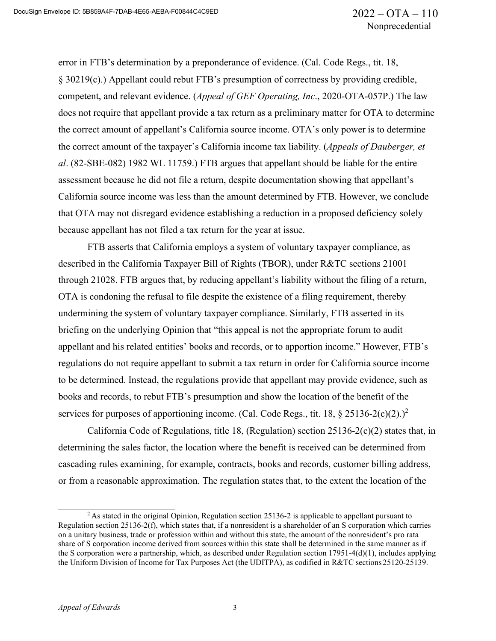error in FTB's determination by a preponderance of evidence. (Cal. Code Regs., tit. 18, § 30219(c).) Appellant could rebut FTB's presumption of correctness by providing credible, competent, and relevant evidence. (*Appeal of GEF Operating, Inc*., 2020-OTA-057P.) The law does not require that appellant provide a tax return as a preliminary matter for OTA to determine the correct amount of appellant's California source income. OTA's only power is to determine the correct amount of the taxpayer's California income tax liability. (*Appeals of Dauberger, et al*. (82-SBE-082) 1982 WL 11759.) FTB argues that appellant should be liable for the entire assessment because he did not file a return, despite documentation showing that appellant's California source income was less than the amount determined by FTB. However, we conclude that OTA may not disregard evidence establishing a reduction in a proposed deficiency solely because appellant has not filed a tax return for the year at issue.

FTB asserts that California employs a system of voluntary taxpayer compliance, as described in the California Taxpayer Bill of Rights (TBOR), under R&TC sections 21001 through 21028. FTB argues that, by reducing appellant's liability without the filing of a return, OTA is condoning the refusal to file despite the existence of a filing requirement, thereby undermining the system of voluntary taxpayer compliance. Similarly, FTB asserted in its briefing on the underlying Opinion that "this appeal is not the appropriate forum to audit appellant and his related entities' books and records, or to apportion income." However, FTB's regulations do not require appellant to submit a tax return in order for California source income to be determined. Instead, the regulations provide that appellant may provide evidence, such as books and records, to rebut FTB's presumption and show the location of the benefit of the services for purposes of apportioning income. (Cal. Code Regs., tit. 18, § 25136-2(c)(2).)<sup>2</sup>

California Code of Regulations, title 18, (Regulation) section 25136-2(c)(2) states that, in determining the sales factor, the location where the benefit is received can be determined from cascading rules examining, for example, contracts, books and records, customer billing address, or from a reasonable approximation. The regulation states that, to the extent the location of the

<sup>2</sup> As stated in the original Opinion, Regulation section 25136-2 is applicable to appellant pursuant to Regulation section 25136-2(f), which states that, if a nonresident is a shareholder of an S corporation which carries on a unitary business, trade or profession within and without this state, the amount of the nonresident's pro rata share of S corporation income derived from sources within this state shall be determined in the same manner as if the S corporation were a partnership, which, as described under Regulation section 17951-4(d)(1), includes applying the Uniform Division of Income for Tax Purposes Act (the UDITPA), as codified in R&TC sections 25120-25139.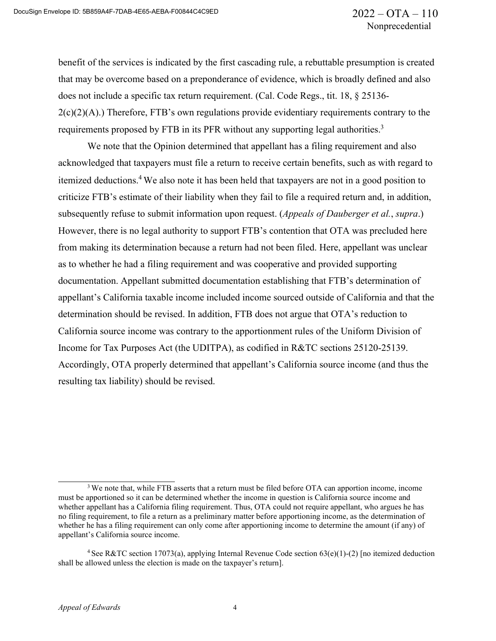benefit of the services is indicated by the first cascading rule, a rebuttable presumption is created that may be overcome based on a preponderance of evidence, which is broadly defined and also does not include a specific tax return requirement. (Cal. Code Regs., tit. 18, § 25136- 2(c)(2)(A).) Therefore, FTB's own regulations provide evidentiary requirements contrary to the requirements proposed by FTB in its PFR without any supporting legal authorities.<sup>3</sup>

We note that the Opinion determined that appellant has a filing requirement and also acknowledged that taxpayers must file a return to receive certain benefits, such as with regard to itemized deductions.4 We also note it has been held that taxpayers are not in a good position to criticize FTB's estimate of their liability when they fail to file a required return and, in addition, subsequently refuse to submit information upon request. (*Appeals of Dauberger et al.*, *supra*.) However, there is no legal authority to support FTB's contention that OTA was precluded here from making its determination because a return had not been filed. Here, appellant was unclear as to whether he had a filing requirement and was cooperative and provided supporting documentation. Appellant submitted documentation establishing that FTB's determination of appellant's California taxable income included income sourced outside of California and that the determination should be revised. In addition, FTB does not argue that OTA's reduction to California source income was contrary to the apportionment rules of the Uniform Division of Income for Tax Purposes Act (the UDITPA), as codified in R&TC sections 25120-25139. Accordingly, OTA properly determined that appellant's California source income (and thus the resulting tax liability) should be revised.

<sup>&</sup>lt;sup>3</sup> We note that, while FTB asserts that a return must be filed before OTA can apportion income, income must be apportioned so it can be determined whether the income in question is California source income and whether appellant has a California filing requirement. Thus, OTA could not require appellant, who argues he has no filing requirement, to file a return as a preliminary matter before apportioning income, as the determination of whether he has a filing requirement can only come after apportioning income to determine the amount (if any) of appellant's California source income.

<sup>&</sup>lt;sup>4</sup> See R&TC section 17073(a), applying Internal Revenue Code section  $63(e)(1)-(2)$  [no itemized deduction shall be allowed unless the election is made on the taxpayer's return].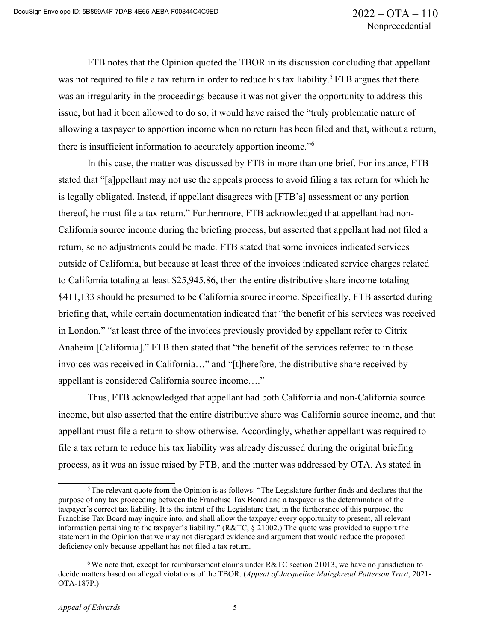FTB notes that the Opinion quoted the TBOR in its discussion concluding that appellant was not required to file a tax return in order to reduce his tax liability.<sup>5</sup> FTB argues that there was an irregularity in the proceedings because it was not given the opportunity to address this issue, but had it been allowed to do so, it would have raised the "truly problematic nature of allowing a taxpayer to apportion income when no return has been filed and that, without a return, there is insufficient information to accurately apportion income."6

In this case, the matter was discussed by FTB in more than one brief. For instance, FTB stated that "[a]ppellant may not use the appeals process to avoid filing a tax return for which he is legally obligated. Instead, if appellant disagrees with [FTB's] assessment or any portion thereof, he must file a tax return." Furthermore, FTB acknowledged that appellant had non-California source income during the briefing process, but asserted that appellant had not filed a return, so no adjustments could be made. FTB stated that some invoices indicated services outside of California, but because at least three of the invoices indicated service charges related to California totaling at least \$25,945.86, then the entire distributive share income totaling \$411,133 should be presumed to be California source income. Specifically, FTB asserted during briefing that, while certain documentation indicated that "the benefit of his services was received in London," "at least three of the invoices previously provided by appellant refer to Citrix Anaheim [California]." FTB then stated that "the benefit of the services referred to in those invoices was received in California…" and "[t]herefore, the distributive share received by appellant is considered California source income…."

Thus, FTB acknowledged that appellant had both California and non-California source income, but also asserted that the entire distributive share was California source income, and that appellant must file a return to show otherwise. Accordingly, whether appellant was required to file a tax return to reduce his tax liability was already discussed during the original briefing process, as it was an issue raised by FTB, and the matter was addressed by OTA. As stated in

 $5$  The relevant quote from the Opinion is as follows: "The Legislature further finds and declares that the purpose of any tax proceeding between the Franchise Tax Board and a taxpayer is the determination of the taxpayer's correct tax liability. It is the intent of the Legislature that, in the furtherance of this purpose, the Franchise Tax Board may inquire into, and shall allow the taxpayer every opportunity to present, all relevant information pertaining to the taxpayer's liability." (R&TC, § 21002.) The quote was provided to support the statement in the Opinion that we may not disregard evidence and argument that would reduce the proposed deficiency only because appellant has not filed a tax return.

<sup>6</sup> We note that, except for reimbursement claims under R&TC section 21013, we have no jurisdiction to decide matters based on alleged violations of the TBOR. (*Appeal of Jacqueline Mairghread Patterson Trust*, 2021- OTA-187P.)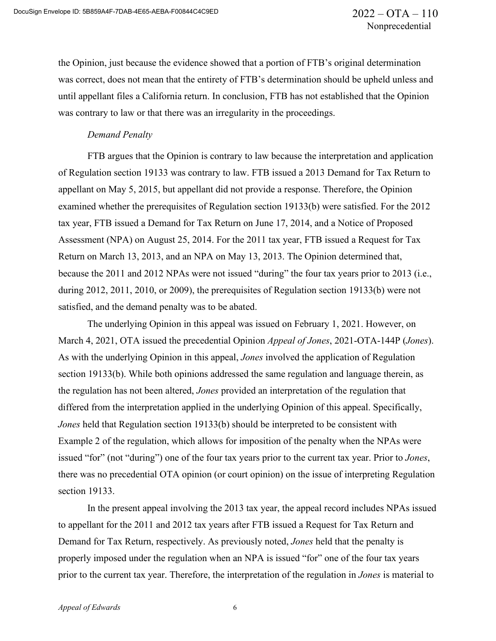the Opinion, just because the evidence showed that a portion of FTB's original determination was correct, does not mean that the entirety of FTB's determination should be upheld unless and until appellant files a California return. In conclusion, FTB has not established that the Opinion was contrary to law or that there was an irregularity in the proceedings.

## *Demand Penalty*

FTB argues that the Opinion is contrary to law because the interpretation and application of Regulation section 19133 was contrary to law. FTB issued a 2013 Demand for Tax Return to appellant on May 5, 2015, but appellant did not provide a response. Therefore, the Opinion examined whether the prerequisites of Regulation section 19133(b) were satisfied. For the 2012 tax year, FTB issued a Demand for Tax Return on June 17, 2014, and a Notice of Proposed Assessment (NPA) on August 25, 2014. For the 2011 tax year, FTB issued a Request for Tax Return on March 13, 2013, and an NPA on May 13, 2013. The Opinion determined that, because the 2011 and 2012 NPAs were not issued "during" the four tax years prior to 2013 (i.e., during 2012, 2011, 2010, or 2009), the prerequisites of Regulation section 19133(b) were not satisfied, and the demand penalty was to be abated.

The underlying Opinion in this appeal was issued on February 1, 2021. However, on March 4, 2021, OTA issued the precedential Opinion *Appeal of Jones*, 2021-OTA-144P (*Jones*). As with the underlying Opinion in this appeal, *Jones* involved the application of Regulation section 19133(b). While both opinions addressed the same regulation and language therein, as the regulation has not been altered, *Jones* provided an interpretation of the regulation that differed from the interpretation applied in the underlying Opinion of this appeal. Specifically, *Jones* held that Regulation section 19133(b) should be interpreted to be consistent with Example 2 of the regulation, which allows for imposition of the penalty when the NPAs were issued "for" (not "during") one of the four tax years prior to the current tax year. Prior to *Jones*, there was no precedential OTA opinion (or court opinion) on the issue of interpreting Regulation section 19133.

In the present appeal involving the 2013 tax year, the appeal record includes NPAs issued to appellant for the 2011 and 2012 tax years after FTB issued a Request for Tax Return and Demand for Tax Return, respectively. As previously noted, *Jones* held that the penalty is properly imposed under the regulation when an NPA is issued "for" one of the four tax years prior to the current tax year. Therefore, the interpretation of the regulation in *Jones* is material to